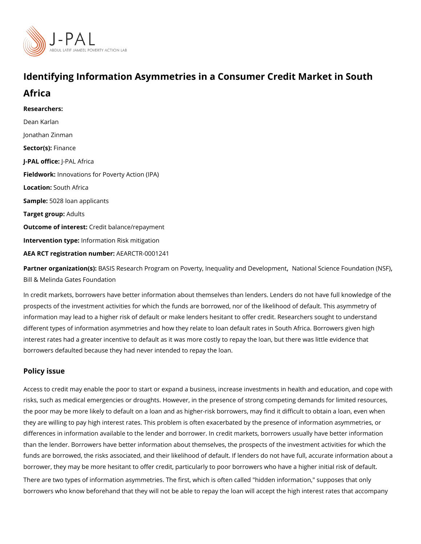# Identifying Information Asymmetries in a Consumer Credit M

## Africa

Researchers: [Dean Ka](https://www.povertyactionlab.org/person/karlan)rlan [Jonathan Z](https://www.povertyactionlab.org/person/zinman)inman Sector(Fsi)nance J-PAL oftli-cPeAL Africa Fieldworkhovations for Poverty Action (IPA) Locatio Sputh Africa Sample5:028 loan applicants Target gro $A$ dults Outcome of inteCesdit balance/repayment Intervention tympfeo: rmation Risk mitigation AEA RCT registration ArEuAnRbGeTR-0001241

Partner organizatBioAnS(IsS): Research Program on Poverty[,](https://www.povertyactionlab.org/partners/national-science-foundation-nsf) Inequ, and iaty icannad Bieveenic pen Feonutn dation [Bill & Melinda Gates](https://www.povertyactionlab.org/partners/bill-melinda-gates-foundation) Foundation

In credit markets, borrowers have better information about themselves than lenders. Lend prospects of the investment activities for which the funds are borrowed, nor of the likelih information may lead to a higher risk of default or make lenders hesitant to offer credit. I different types of information asymmetries and how they relate to loan default rates in So interest rates had a greater incentive to default as it was more costly to repay the loan, I borrowers defaulted because they had never intended to repay the loan.

#### Policy issue

Access to credit may enable the poor to start or expand a business, increase investments risks, such as medical emergencies or droughts. However, in the presence of strong comp the poor may be more likely to default on a loan and as higher-risk borrowers, may find it they are willing to pay high interest rates. This problem is often exacerbated by the prese differences in information available to the lender and borrower. In credit markets, borrow than the lender. Borrowers have better information about themselves, the prospects of the funds are borrowed, the risks associated, and their likelihood of default. If lenders do no borrower, they may be more hesitant to offer credit, particularly to poor borrowers who ha There are two types of information asymmetries. The first, which is often called "hidden i borrowers who know beforehand that they will not be able to repay the loan will accept th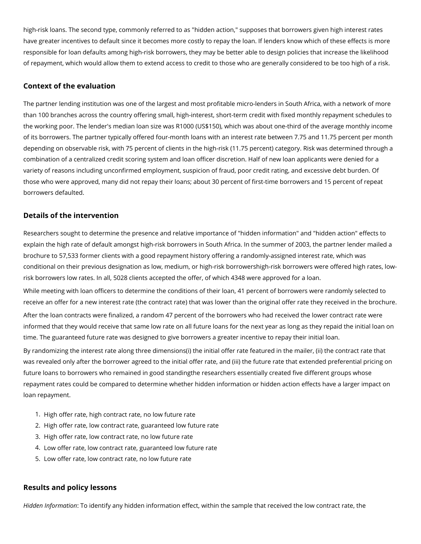high-risk loans. The second type, commonly referred to as "hidden action," supposes that borrowers given high interest rates have greater incentives to default since it becomes more costly to repay the loan. If lenders know which of these effects is more responsible for loan defaults among high-risk borrowers, they may be better able to design policies that increase the likelihood of repayment, which would allow them to extend access to credit to those who are generally considered to be too high of a risk.

#### **Context of the evaluation**

The partner lending institution was one of the largest and most profitable micro-lenders in South Africa, with a network of more than 100 branches across the country offering small, high-interest, short-term credit with fixed monthly repayment schedules to the working poor. The lender's median loan size was R1000 (US\$150), which was about one-third of the average monthly income of its borrowers. The partner typically offered four-month loans with an interest rate between 7.75 and 11.75 percent per month depending on observable risk, with 75 percent of clients in the high-risk (11.75 percent) category. Risk was determined through a combination of a centralized credit scoring system and loan officer discretion. Half of new loan applicants were denied for a variety of reasons including unconfirmed employment, suspicion of fraud, poor credit rating, and excessive debt burden. Of those who were approved, many did not repay their loans; about 30 percent of first-time borrowers and 15 percent of repeat borrowers defaulted.

### **Details of the intervention**

Researchers sought to determine the presence and relative importance of "hidden information" and "hidden action" effects to explain the high rate of default amongst high-risk borrowers in South Africa. In the summer of 2003, the partner lender mailed a brochure to 57,533 former clients with a good repayment history offering a randomly-assigned interest rate, which was conditional on their previous designation as low, medium, or high-risk borrowershigh-risk borrowers were offered high rates, lowrisk borrowers low rates. In all, 5028 clients accepted the offer, of which 4348 were approved for a loan.

While meeting with loan officers to determine the conditions of their loan, 41 percent of borrowers were randomly selected to receive an offer for a new interest rate (the contract rate) that was lower than the original offer rate they received in the brochure. After the loan contracts were finalized, a random 47 percent of the borrowers who had received the lower contract rate were informed that they would receive that same low rate on all future loans for the next year as long as they repaid the initial loan on time. The guaranteed future rate was designed to give borrowers a greater incentive to repay their initial loan.

By randomizing the interest rate along three dimensions(i) the initial offer rate featured in the mailer, (ii) the contract rate that was revealed only after the borrower agreed to the initial offer rate, and (iii) the future rate that extended preferential pricing on future loans to borrowers who remained in good standingthe researchers essentially created five different groups whose repayment rates could be compared to determine whether hidden information or hidden action effects have a larger impact on loan repayment.

- 1. High offer rate, high contract rate, no low future rate
- 2. High offer rate, low contract rate, guaranteed low future rate
- 3. High offer rate, low contract rate, no low future rate
- 4. Low offer rate, low contract rate, guaranteed low future rate
- 5. Low offer rate, low contract rate, no low future rate

#### **Results and policy lessons**

*Hidden Information*: To identify any hidden information effect, within the sample that received the low contract rate, the